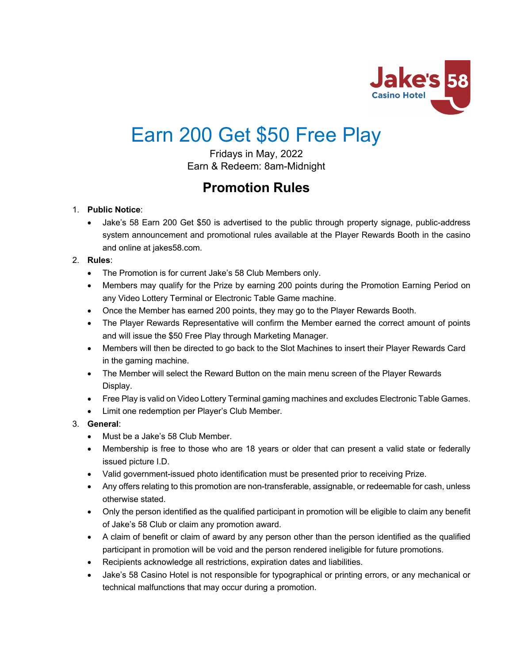

# Earn 200 Get \$50 Free Play

Fridays in May, 2022 Earn & Redeem: 8am-Midnight

# **Promotion Rules**

# 1. **Public Notice**:

• Jake's 58 Earn 200 Get \$50 is advertised to the public through property signage, public-address system announcement and promotional rules available at the Player Rewards Booth in the casino and online at jakes58.com.

# 2. **Rules**:

- The Promotion is for current Jake's 58 Club Members only.
- Members may qualify for the Prize by earning 200 points during the Promotion Earning Period on any Video Lottery Terminal or Electronic Table Game machine.
- Once the Member has earned 200 points, they may go to the Player Rewards Booth.
- The Player Rewards Representative will confirm the Member earned the correct amount of points and will issue the \$50 Free Play through Marketing Manager.
- Members will then be directed to go back to the Slot Machines to insert their Player Rewards Card in the gaming machine.
- The Member will select the Reward Button on the main menu screen of the Player Rewards Display.
- Free Play is valid on Video Lottery Terminal gaming machines and excludes Electronic Table Games.
- Limit one redemption per Player's Club Member.

# 3. **General**:

- Must be a Jake's 58 Club Member.
- Membership is free to those who are 18 years or older that can present a valid state or federally issued picture I.D.
- Valid government-issued photo identification must be presented prior to receiving Prize.
- Any offers relating to this promotion are non-transferable, assignable, or redeemable for cash, unless otherwise stated.
- Only the person identified as the qualified participant in promotion will be eligible to claim any benefit of Jake's 58 Club or claim any promotion award.
- A claim of benefit or claim of award by any person other than the person identified as the qualified participant in promotion will be void and the person rendered ineligible for future promotions.
- Recipients acknowledge all restrictions, expiration dates and liabilities.
- Jake's 58 Casino Hotel is not responsible for typographical or printing errors, or any mechanical or technical malfunctions that may occur during a promotion.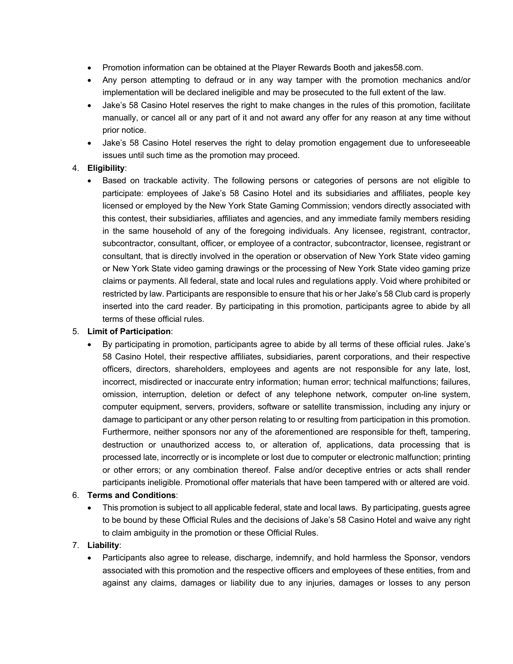- Promotion information can be obtained at the Player Rewards Booth and jakes58.com.
- Any person attempting to defraud or in any way tamper with the promotion mechanics and/or implementation will be declared ineligible and may be prosecuted to the full extent of the law.
- Jake's 58 Casino Hotel reserves the right to make changes in the rules of this promotion, facilitate manually, or cancel all or any part of it and not award any offer for any reason at any time without prior notice.
- Jake's 58 Casino Hotel reserves the right to delay promotion engagement due to unforeseeable issues until such time as the promotion may proceed.

#### 4. **Eligibility**:

• Based on trackable activity. The following persons or categories of persons are not eligible to participate: employees of Jake's 58 Casino Hotel and its subsidiaries and affiliates, people key licensed or employed by the New York State Gaming Commission; vendors directly associated with this contest, their subsidiaries, affiliates and agencies, and any immediate family members residing in the same household of any of the foregoing individuals. Any licensee, registrant, contractor, subcontractor, consultant, officer, or employee of a contractor, subcontractor, licensee, registrant or consultant, that is directly involved in the operation or observation of New York State video gaming or New York State video gaming drawings or the processing of New York State video gaming prize claims or payments. All federal, state and local rules and regulations apply. Void where prohibited or restricted by law. Participants are responsible to ensure that his or her Jake's 58 Club card is properly inserted into the card reader. By participating in this promotion, participants agree to abide by all terms of these official rules.

#### 5. **Limit of Participation**:

• By participating in promotion, participants agree to abide by all terms of these official rules. Jake's 58 Casino Hotel, their respective affiliates, subsidiaries, parent corporations, and their respective officers, directors, shareholders, employees and agents are not responsible for any late, lost, incorrect, misdirected or inaccurate entry information; human error; technical malfunctions; failures, omission, interruption, deletion or defect of any telephone network, computer on-line system, computer equipment, servers, providers, software or satellite transmission, including any injury or damage to participant or any other person relating to or resulting from participation in this promotion. Furthermore, neither sponsors nor any of the aforementioned are responsible for theft, tampering, destruction or unauthorized access to, or alteration of, applications, data processing that is processed late, incorrectly or is incomplete or lost due to computer or electronic malfunction; printing or other errors; or any combination thereof. False and/or deceptive entries or acts shall render participants ineligible. Promotional offer materials that have been tampered with or altered are void.

#### 6. **Terms and Conditions**:

• This promotion is subject to all applicable federal, state and local laws. By participating, guests agree to be bound by these Official Rules and the decisions of Jake's 58 Casino Hotel and waive any right to claim ambiguity in the promotion or these Official Rules.

# 7. **Liability**:

• Participants also agree to release, discharge, indemnify, and hold harmless the Sponsor, vendors associated with this promotion and the respective officers and employees of these entities, from and against any claims, damages or liability due to any injuries, damages or losses to any person